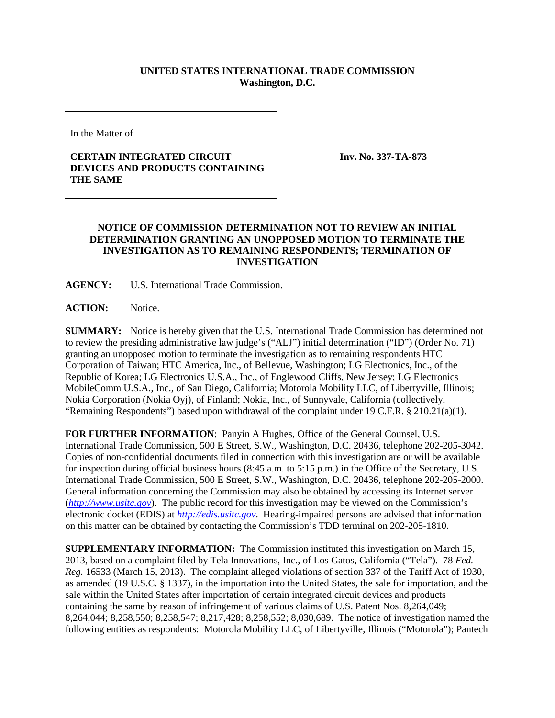## **UNITED STATES INTERNATIONAL TRADE COMMISSION Washington, D.C.**

In the Matter of

## **CERTAIN INTEGRATED CIRCUIT DEVICES AND PRODUCTS CONTAINING THE SAME**

**Inv. No. 337-TA-873**

## **NOTICE OF COMMISSION DETERMINATION NOT TO REVIEW AN INITIAL DETERMINATION GRANTING AN UNOPPOSED MOTION TO TERMINATE THE INVESTIGATION AS TO REMAINING RESPONDENTS; TERMINATION OF INVESTIGATION**

**AGENCY:** U.S. International Trade Commission.

**ACTION:** Notice.

**SUMMARY:** Notice is hereby given that the U.S. International Trade Commission has determined not to review the presiding administrative law judge's ("ALJ") initial determination ("ID") (Order No. 71) granting an unopposed motion to terminate the investigation as to remaining respondents HTC Corporation of Taiwan; HTC America, Inc., of Bellevue, Washington; LG Electronics, Inc., of the Republic of Korea; LG Electronics U.S.A., Inc., of Englewood Cliffs, New Jersey; LG Electronics MobileComm U.S.A., Inc., of San Diego, California; Motorola Mobility LLC, of Libertyville, Illinois; Nokia Corporation (Nokia Oyj), of Finland; Nokia, Inc., of Sunnyvale, California (collectively, "Remaining Respondents") based upon withdrawal of the complaint under 19 C.F.R. § 210.21(a)(1).

**FOR FURTHER INFORMATION**: Panyin A Hughes, Office of the General Counsel, U.S. International Trade Commission, 500 E Street, S.W., Washington, D.C. 20436, telephone 202-205-3042. Copies of non-confidential documents filed in connection with this investigation are or will be available for inspection during official business hours (8:45 a.m. to 5:15 p.m.) in the Office of the Secretary, U.S. International Trade Commission, 500 E Street, S.W., Washington, D.C. 20436, telephone 202-205-2000. General information concerning the Commission may also be obtained by accessing its Internet server (*[http://www.usitc.gov](http://www.usitc.gov/)*). The public record for this investigation may be viewed on the Commission's electronic docket (EDIS) at *[http://edis.usitc.gov](http://edis.usitc.gov/)*. Hearing-impaired persons are advised that information on this matter can be obtained by contacting the Commission's TDD terminal on 202-205-1810.

**SUPPLEMENTARY INFORMATION:** The Commission instituted this investigation on March 15, 2013, based on a complaint filed by Tela Innovations, Inc., of Los Gatos, California ("Tela"). 78 *Fed. Reg.* 16533 (March 15, 2013). The complaint alleged violations of section 337 of the Tariff Act of 1930, as amended (19 U.S.C. § 1337), in the importation into the United States, the sale for importation, and the sale within the United States after importation of certain integrated circuit devices and products containing the same by reason of infringement of various claims of U.S. Patent Nos. 8,264,049; 8,264,044; 8,258,550; 8,258,547; 8,217,428; 8,258,552; 8,030,689. The notice of investigation named the following entities as respondents: Motorola Mobility LLC, of Libertyville, Illinois ("Motorola"); Pantech